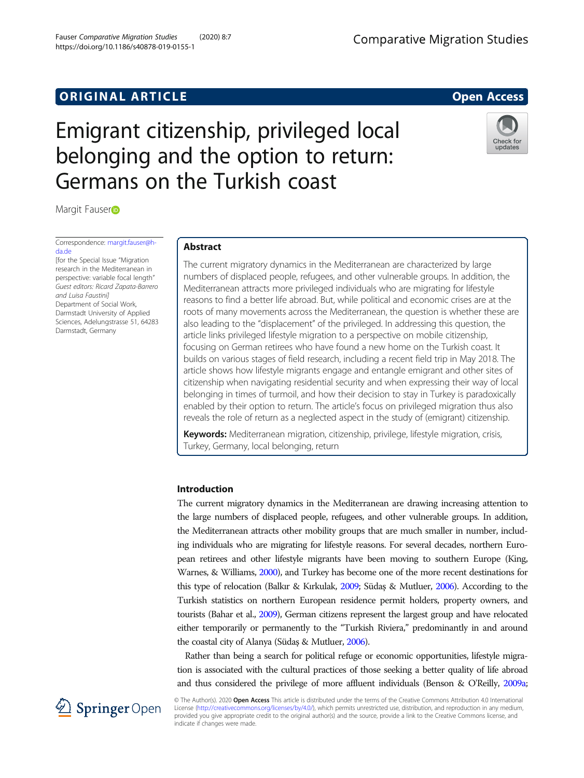# **ORIGINAL ARTICLE CONSERVANCE IN A LOCAL CONSERVANCE IN A LOCAL CONSERVANCE IN A LOCAL CONSERVANCE IN A LOCAL CONSERVANCE IN A LOCAL CONSERVANCE IN A LOCAL CONSERVANCE IN A LOCAL CONSERVANCE IN A LOCAL CONSERVANCE IN A L**

# Emigrant citizenship, privileged local belonging and the option to return: Germans on the Turkish coast

Ma[r](http://orcid.org/0000-0002-2124-4907)git Fauser<sub>D</sub>

Correspondence: [margit.fauser@h](mailto:margit.fauser@h-da.de)[da.de](mailto:margit.fauser@h-da.de)

[for the Special Issue "Migration research in the Mediterranean in perspective: variable focal length" Guest editors: Ricard Zapata-Barrero and Luisa Faustini] Department of Social Work, Darmstadt University of Applied Sciences, Adelungstrasse 51, 64283 Darmstadt, Germany

# Abstract

The current migratory dynamics in the Mediterranean are characterized by large numbers of displaced people, refugees, and other vulnerable groups. In addition, the Mediterranean attracts more privileged individuals who are migrating for lifestyle reasons to find a better life abroad. But, while political and economic crises are at the roots of many movements across the Mediterranean, the question is whether these are also leading to the "displacement" of the privileged. In addressing this question, the article links privileged lifestyle migration to a perspective on mobile citizenship, focusing on German retirees who have found a new home on the Turkish coast. It builds on various stages of field research, including a recent field trip in May 2018. The article shows how lifestyle migrants engage and entangle emigrant and other sites of citizenship when navigating residential security and when expressing their way of local belonging in times of turmoil, and how their decision to stay in Turkey is paradoxically enabled by their option to return. The article's focus on privileged migration thus also reveals the role of return as a neglected aspect in the study of (emigrant) citizenship.

Keywords: Mediterranean migration, citizenship, privilege, lifestyle migration, crisis, Turkey, Germany, local belonging, return

# Introduction

The current migratory dynamics in the Mediterranean are drawing increasing attention to the large numbers of displaced people, refugees, and other vulnerable groups. In addition, the Mediterranean attracts other mobility groups that are much smaller in number, including individuals who are migrating for lifestyle reasons. For several decades, northern European retirees and other lifestyle migrants have been moving to southern Europe (King, Warnes, & Williams, [2000](#page-15-0)), and Turkey has become one of the more recent destinations for this type of relocation (Balkır & Kırkulak, [2009;](#page-14-0) Südaş & Mutluer, [2006](#page-16-0)). According to the Turkish statistics on northern European residence permit holders, property owners, and tourists (Bahar et al., [2009\)](#page-14-0), German citizens represent the largest group and have relocated either temporarily or permanently to the "Turkish Riviera," predominantly in and around the coastal city of Alanya (Südaş & Mutluer, [2006](#page-16-0)).

Rather than being a search for political refuge or economic opportunities, lifestyle migration is associated with the cultural practices of those seeking a better quality of life abroad and thus considered the privilege of more affluent individuals (Benson & O'Reilly, [2009a](#page-14-0);

© The Author(s). 2020 Open Access This article is distributed under the terms of the Creative Commons Attribution 4.0 International  $\textcircled{2}$  Springer Open License [\(http://creativecommons.org/licenses/by/4.0/](http://creativecommons.org/licenses/by/4.0/)), which permits unrestricted use, distribution, and reproduction in any medium, provided you give appropriate credit to the original author(s) and the source, provide a link to the Creative Commons license, and indicate if changes were made.



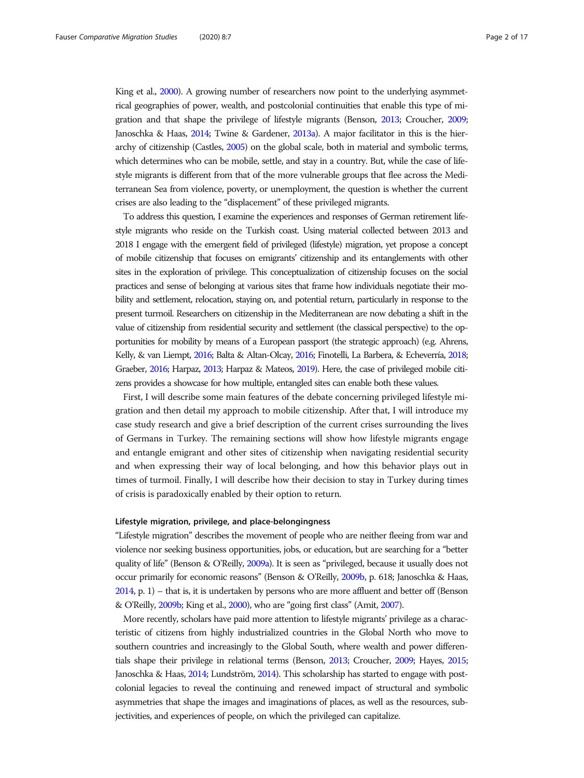King et al., [2000\)](#page-15-0). A growing number of researchers now point to the underlying asymmetrical geographies of power, wealth, and postcolonial continuities that enable this type of migration and that shape the privilege of lifestyle migrants (Benson, [2013](#page-14-0); Croucher, [2009](#page-15-0); Janoschka & Haas, [2014](#page-15-0); Twine & Gardener, [2013a\)](#page-16-0). A major facilitator in this is the hierarchy of citizenship (Castles, [2005\)](#page-15-0) on the global scale, both in material and symbolic terms, which determines who can be mobile, settle, and stay in a country. But, while the case of lifestyle migrants is different from that of the more vulnerable groups that flee across the Mediterranean Sea from violence, poverty, or unemployment, the question is whether the current crises are also leading to the "displacement" of these privileged migrants.

To address this question, I examine the experiences and responses of German retirement lifestyle migrants who reside on the Turkish coast. Using material collected between 2013 and 2018 I engage with the emergent field of privileged (lifestyle) migration, yet propose a concept of mobile citizenship that focuses on emigrants' citizenship and its entanglements with other sites in the exploration of privilege. This conceptualization of citizenship focuses on the social practices and sense of belonging at various sites that frame how individuals negotiate their mobility and settlement, relocation, staying on, and potential return, particularly in response to the present turmoil. Researchers on citizenship in the Mediterranean are now debating a shift in the value of citizenship from residential security and settlement (the classical perspective) to the opportunities for mobility by means of a European passport (the strategic approach) (e.g. Ahrens, Kelly, & van Liempt, [2016;](#page-14-0) Balta & Altan-Olcay, [2016](#page-14-0); Finotelli, La Barbera, & Echeverría, [2018](#page-15-0); Graeber, [2016;](#page-15-0) Harpaz, [2013;](#page-15-0) Harpaz & Mateos, [2019\)](#page-15-0). Here, the case of privileged mobile citizens provides a showcase for how multiple, entangled sites can enable both these values.

First, I will describe some main features of the debate concerning privileged lifestyle migration and then detail my approach to mobile citizenship. After that, I will introduce my case study research and give a brief description of the current crises surrounding the lives of Germans in Turkey. The remaining sections will show how lifestyle migrants engage and entangle emigrant and other sites of citizenship when navigating residential security and when expressing their way of local belonging, and how this behavior plays out in times of turmoil. Finally, I will describe how their decision to stay in Turkey during times of crisis is paradoxically enabled by their option to return.

# Lifestyle migration, privilege, and place-belongingness

"Lifestyle migration" describes the movement of people who are neither fleeing from war and violence nor seeking business opportunities, jobs, or education, but are searching for a "better quality of life" (Benson & O'Reilly, [2009a\)](#page-14-0). It is seen as "privileged, because it usually does not occur primarily for economic reasons" (Benson & O'Reilly, [2009b,](#page-14-0) p. 618; Janoschka & Haas, [2014](#page-15-0), p. 1) – that is, it is undertaken by persons who are more affluent and better off (Benson & O'Reilly, [2009b](#page-14-0); King et al., [2000\)](#page-15-0), who are "going first class" (Amit, [2007](#page-14-0)).

More recently, scholars have paid more attention to lifestyle migrants' privilege as a characteristic of citizens from highly industrialized countries in the Global North who move to southern countries and increasingly to the Global South, where wealth and power differentials shape their privilege in relational terms (Benson, [2013;](#page-14-0) Croucher, [2009;](#page-15-0) Hayes, [2015](#page-15-0); Janoschka & Haas, [2014;](#page-15-0) Lundström, [2014](#page-15-0)). This scholarship has started to engage with postcolonial legacies to reveal the continuing and renewed impact of structural and symbolic asymmetries that shape the images and imaginations of places, as well as the resources, subjectivities, and experiences of people, on which the privileged can capitalize.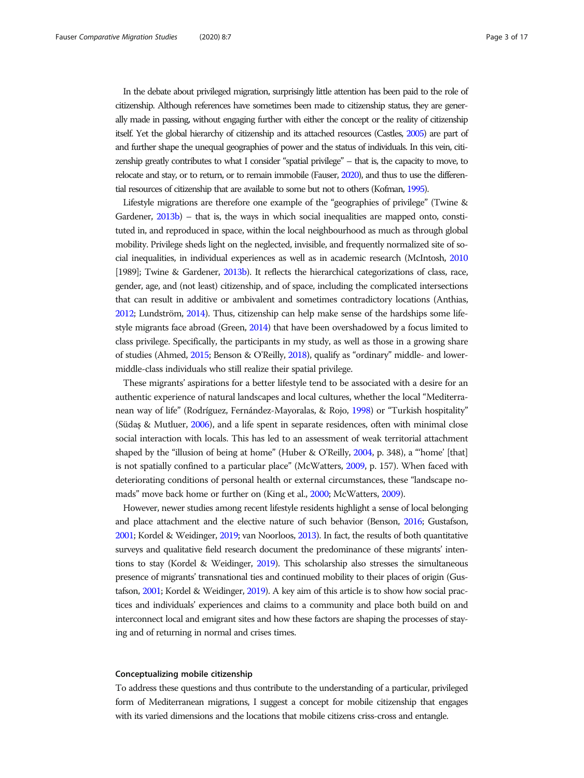In the debate about privileged migration, surprisingly little attention has been paid to the role of citizenship. Although references have sometimes been made to citizenship status, they are generally made in passing, without engaging further with either the concept or the reality of citizenship itself. Yet the global hierarchy of citizenship and its attached resources (Castles, [2005](#page-15-0)) are part of and further shape the unequal geographies of power and the status of individuals. In this vein, citizenship greatly contributes to what I consider "spatial privilege" – that is, the capacity to move, to relocate and stay, or to return, or to remain immobile (Fauser, [2020\)](#page-15-0), and thus to use the differential resources of citizenship that are available to some but not to others (Kofman, [1995\)](#page-15-0).

Lifestyle migrations are therefore one example of the "geographies of privilege" (Twine & Gardener, [2013b](#page-16-0)) – that is, the ways in which social inequalities are mapped onto, constituted in, and reproduced in space, within the local neighbourhood as much as through global mobility. Privilege sheds light on the neglected, invisible, and frequently normalized site of social inequalities, in individual experiences as well as in academic research (McIntosh, [2010](#page-16-0) [1989]; Twine & Gardener, [2013b\)](#page-16-0). It reflects the hierarchical categorizations of class, race, gender, age, and (not least) citizenship, and of space, including the complicated intersections that can result in additive or ambivalent and sometimes contradictory locations (Anthias, [2012;](#page-14-0) Lundström, [2014](#page-15-0)). Thus, citizenship can help make sense of the hardships some lifestyle migrants face abroad (Green, [2014](#page-15-0)) that have been overshadowed by a focus limited to class privilege. Specifically, the participants in my study, as well as those in a growing share of studies (Ahmed, [2015](#page-14-0); Benson & O'Reilly, [2018\)](#page-14-0), qualify as "ordinary" middle- and lowermiddle-class individuals who still realize their spatial privilege.

These migrants' aspirations for a better lifestyle tend to be associated with a desire for an authentic experience of natural landscapes and local cultures, whether the local "Mediterranean way of life" (Rodríguez, Fernández-Mayoralas, & Rojo, [1998](#page-16-0)) or "Turkish hospitality" (Südaş & Mutluer, [2006\)](#page-16-0), and a life spent in separate residences, often with minimal close social interaction with locals. This has led to an assessment of weak territorial attachment shaped by the "illusion of being at home" (Huber & O'Reilly, [2004,](#page-15-0) p. 348), a "'home' [that] is not spatially confined to a particular place" (McWatters, [2009](#page-16-0), p. 157). When faced with deteriorating conditions of personal health or external circumstances, these "landscape nomads" move back home or further on (King et al., [2000](#page-15-0); McWatters, [2009](#page-16-0)).

However, newer studies among recent lifestyle residents highlight a sense of local belonging and place attachment and the elective nature of such behavior (Benson, [2016;](#page-14-0) Gustafson, [2001](#page-15-0); Kordel & Weidinger, [2019;](#page-15-0) van Noorloos, [2013\)](#page-16-0). In fact, the results of both quantitative surveys and qualitative field research document the predominance of these migrants' intentions to stay (Kordel & Weidinger, [2019\)](#page-15-0). This scholarship also stresses the simultaneous presence of migrants' transnational ties and continued mobility to their places of origin (Gustafson, [2001](#page-15-0); Kordel & Weidinger, [2019\)](#page-15-0). A key aim of this article is to show how social practices and individuals' experiences and claims to a community and place both build on and interconnect local and emigrant sites and how these factors are shaping the processes of staying and of returning in normal and crises times.

## Conceptualizing mobile citizenship

To address these questions and thus contribute to the understanding of a particular, privileged form of Mediterranean migrations, I suggest a concept for mobile citizenship that engages with its varied dimensions and the locations that mobile citizens criss-cross and entangle.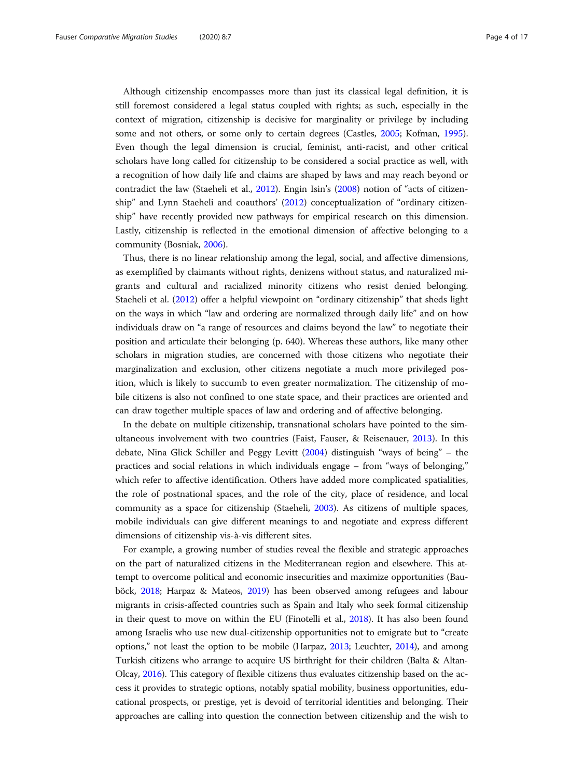Although citizenship encompasses more than just its classical legal definition, it is still foremost considered a legal status coupled with rights; as such, especially in the context of migration, citizenship is decisive for marginality or privilege by including some and not others, or some only to certain degrees (Castles, [2005;](#page-15-0) Kofman, [1995](#page-15-0)). Even though the legal dimension is crucial, feminist, anti-racist, and other critical scholars have long called for citizenship to be considered a social practice as well, with a recognition of how daily life and claims are shaped by laws and may reach beyond or contradict the law (Staeheli et al., [2012\)](#page-16-0). Engin Isin's [\(2008](#page-15-0)) notion of "acts of citizenship" and Lynn Staeheli and coauthors' [\(2012\)](#page-16-0) conceptualization of "ordinary citizenship" have recently provided new pathways for empirical research on this dimension. Lastly, citizenship is reflected in the emotional dimension of affective belonging to a community (Bosniak, [2006](#page-14-0)).

Thus, there is no linear relationship among the legal, social, and affective dimensions, as exemplified by claimants without rights, denizens without status, and naturalized migrants and cultural and racialized minority citizens who resist denied belonging. Staeheli et al. ([2012](#page-16-0)) offer a helpful viewpoint on "ordinary citizenship" that sheds light on the ways in which "law and ordering are normalized through daily life" and on how individuals draw on "a range of resources and claims beyond the law" to negotiate their position and articulate their belonging (p. 640). Whereas these authors, like many other scholars in migration studies, are concerned with those citizens who negotiate their marginalization and exclusion, other citizens negotiate a much more privileged position, which is likely to succumb to even greater normalization. The citizenship of mobile citizens is also not confined to one state space, and their practices are oriented and can draw together multiple spaces of law and ordering and of affective belonging.

In the debate on multiple citizenship, transnational scholars have pointed to the simultaneous involvement with two countries (Faist, Fauser, & Reisenauer, [2013\)](#page-15-0). In this debate, Nina Glick Schiller and Peggy Levitt [\(2004\)](#page-15-0) distinguish "ways of being" – the practices and social relations in which individuals engage – from "ways of belonging," which refer to affective identification. Others have added more complicated spatialities, the role of postnational spaces, and the role of the city, place of residence, and local community as a space for citizenship (Staeheli, [2003](#page-16-0)). As citizens of multiple spaces, mobile individuals can give different meanings to and negotiate and express different dimensions of citizenship vis-à-vis different sites.

For example, a growing number of studies reveal the flexible and strategic approaches on the part of naturalized citizens in the Mediterranean region and elsewhere. This attempt to overcome political and economic insecurities and maximize opportunities (Bauböck, [2018](#page-14-0); Harpaz & Mateos, [2019\)](#page-15-0) has been observed among refugees and labour migrants in crisis-affected countries such as Spain and Italy who seek formal citizenship in their quest to move on within the EU (Finotelli et al., [2018\)](#page-15-0). It has also been found among Israelis who use new dual-citizenship opportunities not to emigrate but to "create options," not least the option to be mobile (Harpaz, [2013;](#page-15-0) Leuchter, [2014\)](#page-15-0), and among Turkish citizens who arrange to acquire US birthright for their children (Balta & Altan-Olcay, [2016\)](#page-14-0). This category of flexible citizens thus evaluates citizenship based on the access it provides to strategic options, notably spatial mobility, business opportunities, educational prospects, or prestige, yet is devoid of territorial identities and belonging. Their approaches are calling into question the connection between citizenship and the wish to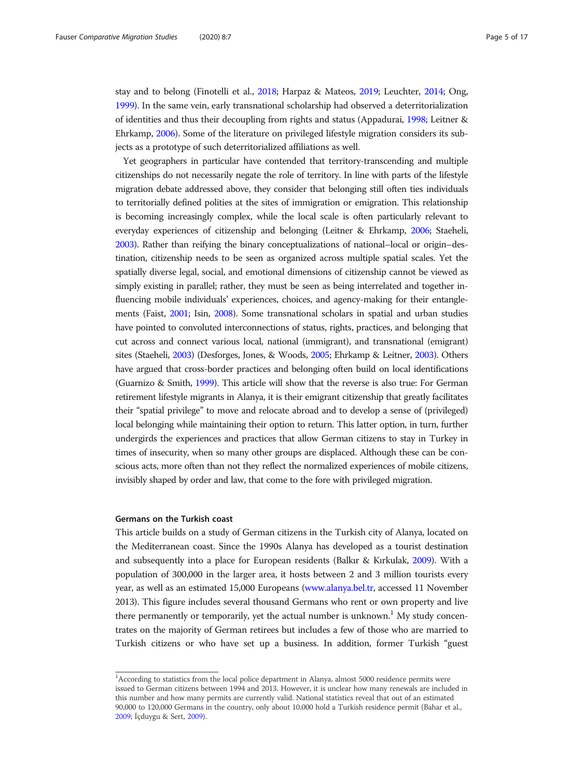stay and to belong (Finotelli et al., [2018](#page-15-0); Harpaz & Mateos, [2019;](#page-15-0) Leuchter, [2014](#page-15-0); Ong, [1999\)](#page-16-0). In the same vein, early transnational scholarship had observed a deterritorialization of identities and thus their decoupling from rights and status (Appadurai, [1998](#page-14-0); Leitner & Ehrkamp, [2006\)](#page-15-0). Some of the literature on privileged lifestyle migration considers its subjects as a prototype of such deterritorialized affiliations as well.

Yet geographers in particular have contended that territory-transcending and multiple citizenships do not necessarily negate the role of territory. In line with parts of the lifestyle migration debate addressed above, they consider that belonging still often ties individuals to territorially defined polities at the sites of immigration or emigration. This relationship is becoming increasingly complex, while the local scale is often particularly relevant to everyday experiences of citizenship and belonging (Leitner & Ehrkamp, [2006](#page-15-0); Staeheli, [2003\)](#page-16-0). Rather than reifying the binary conceptualizations of national–local or origin–destination, citizenship needs to be seen as organized across multiple spatial scales. Yet the spatially diverse legal, social, and emotional dimensions of citizenship cannot be viewed as simply existing in parallel; rather, they must be seen as being interrelated and together influencing mobile individuals' experiences, choices, and agency-making for their entanglements (Faist, [2001](#page-15-0); Isin, [2008\)](#page-15-0). Some transnational scholars in spatial and urban studies have pointed to convoluted interconnections of status, rights, practices, and belonging that cut across and connect various local, national (immigrant), and transnational (emigrant) sites (Staeheli, [2003](#page-16-0)) (Desforges, Jones, & Woods, [2005](#page-15-0); Ehrkamp & Leitner, [2003](#page-15-0)). Others have argued that cross-border practices and belonging often build on local identifications (Guarnizo & Smith, [1999](#page-15-0)). This article will show that the reverse is also true: For German retirement lifestyle migrants in Alanya, it is their emigrant citizenship that greatly facilitates their "spatial privilege" to move and relocate abroad and to develop a sense of (privileged) local belonging while maintaining their option to return. This latter option, in turn, further undergirds the experiences and practices that allow German citizens to stay in Turkey in times of insecurity, when so many other groups are displaced. Although these can be conscious acts, more often than not they reflect the normalized experiences of mobile citizens, invisibly shaped by order and law, that come to the fore with privileged migration.

# Germans on the Turkish coast

This article builds on a study of German citizens in the Turkish city of Alanya, located on the Mediterranean coast. Since the 1990s Alanya has developed as a tourist destination and subsequently into a place for European residents (Balkır & Kırkulak, [2009](#page-14-0)). With a population of 300,000 in the larger area, it hosts between 2 and 3 million tourists every year, as well as an estimated 15,000 Europeans ([www.alanya.bel.tr,](http://www.alanya.bel.tr) accessed 11 November 2013). This figure includes several thousand Germans who rent or own property and live there permanently or temporarily, yet the actual number is unknown.<sup>1</sup> My study concentrates on the majority of German retirees but includes a few of those who are married to Turkish citizens or who have set up a business. In addition, former Turkish "guest

<sup>&</sup>lt;sup>1</sup>According to statistics from the local police department in Alanya, almost 5000 residence permits were issued to German citizens between 1994 and 2013. However, it is unclear how many renewals are included in this number and how many permits are currently valid. National statistics reveal that out of an estimated 90,000 to 120,000 Germans in the country, only about 10,000 hold a Turkish residence permit (Bahar et al., [2009](#page-14-0); İçduygu & Sert, [2009\)](#page-15-0).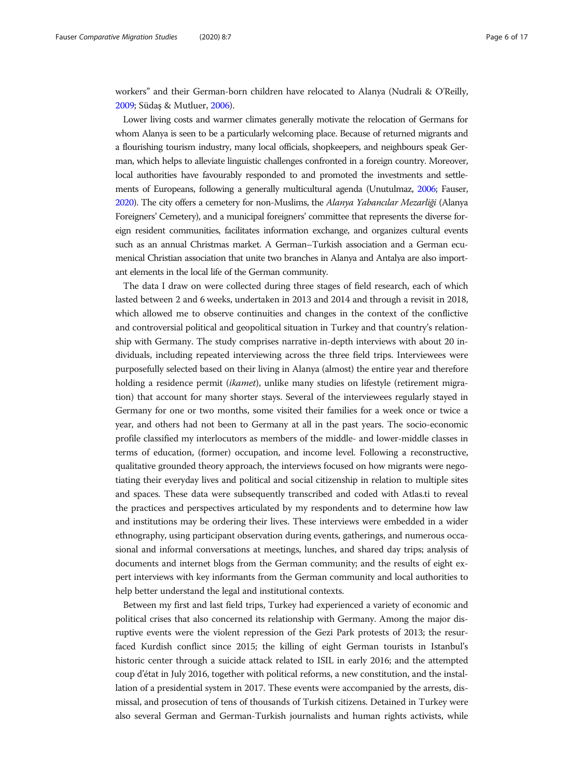workers" and their German-born children have relocated to Alanya (Nudrali & O'Reilly, [2009;](#page-16-0) Südaş & Mutluer, [2006](#page-16-0)).

Lower living costs and warmer climates generally motivate the relocation of Germans for whom Alanya is seen to be a particularly welcoming place. Because of returned migrants and a flourishing tourism industry, many local officials, shopkeepers, and neighbours speak German, which helps to alleviate linguistic challenges confronted in a foreign country. Moreover, local authorities have favourably responded to and promoted the investments and settlements of Europeans, following a generally multicultural agenda (Unutulmaz, [2006](#page-16-0); Fauser, [2020](#page-15-0)). The city offers a cemetery for non-Muslims, the Alanya Yabancılar Mezarliği (Alanya Foreigners' Cemetery), and a municipal foreigners' committee that represents the diverse foreign resident communities, facilitates information exchange, and organizes cultural events such as an annual Christmas market. A German–Turkish association and a German ecumenical Christian association that unite two branches in Alanya and Antalya are also important elements in the local life of the German community.

The data I draw on were collected during three stages of field research, each of which lasted between 2 and 6 weeks, undertaken in 2013 and 2014 and through a revisit in 2018, which allowed me to observe continuities and changes in the context of the conflictive and controversial political and geopolitical situation in Turkey and that country's relationship with Germany. The study comprises narrative in-depth interviews with about 20 individuals, including repeated interviewing across the three field trips. Interviewees were purposefully selected based on their living in Alanya (almost) the entire year and therefore holding a residence permit *(ikamet)*, unlike many studies on lifestyle *(retirement migra*tion) that account for many shorter stays. Several of the interviewees regularly stayed in Germany for one or two months, some visited their families for a week once or twice a year, and others had not been to Germany at all in the past years. The socio-economic profile classified my interlocutors as members of the middle- and lower-middle classes in terms of education, (former) occupation, and income level. Following a reconstructive, qualitative grounded theory approach, the interviews focused on how migrants were negotiating their everyday lives and political and social citizenship in relation to multiple sites and spaces. These data were subsequently transcribed and coded with Atlas.ti to reveal the practices and perspectives articulated by my respondents and to determine how law and institutions may be ordering their lives. These interviews were embedded in a wider ethnography, using participant observation during events, gatherings, and numerous occasional and informal conversations at meetings, lunches, and shared day trips; analysis of documents and internet blogs from the German community; and the results of eight expert interviews with key informants from the German community and local authorities to help better understand the legal and institutional contexts.

Between my first and last field trips, Turkey had experienced a variety of economic and political crises that also concerned its relationship with Germany. Among the major disruptive events were the violent repression of the Gezi Park protests of 2013; the resurfaced Kurdish conflict since 2015; the killing of eight German tourists in Istanbul's historic center through a suicide attack related to ISIL in early 2016; and the attempted coup d'état in July 2016, together with political reforms, a new constitution, and the installation of a presidential system in 2017. These events were accompanied by the arrests, dismissal, and prosecution of tens of thousands of Turkish citizens. Detained in Turkey were also several German and German-Turkish journalists and human rights activists, while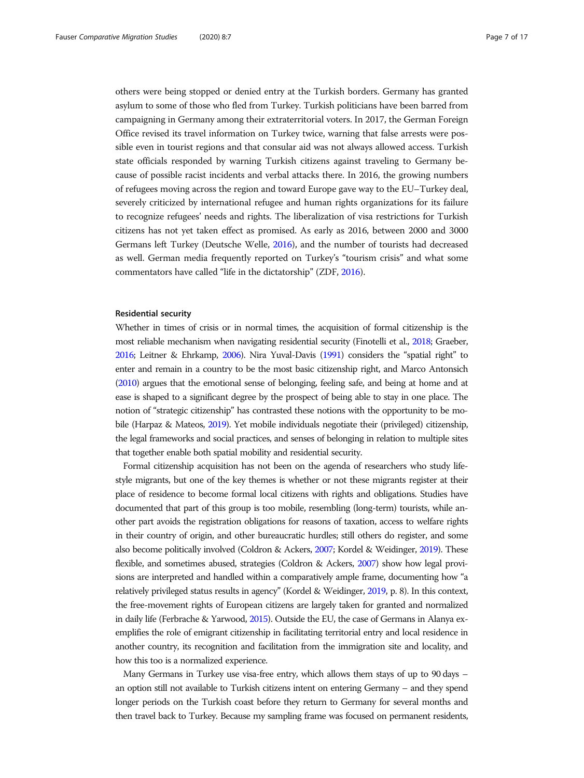others were being stopped or denied entry at the Turkish borders. Germany has granted asylum to some of those who fled from Turkey. Turkish politicians have been barred from campaigning in Germany among their extraterritorial voters. In 2017, the German Foreign Office revised its travel information on Turkey twice, warning that false arrests were possible even in tourist regions and that consular aid was not always allowed access. Turkish state officials responded by warning Turkish citizens against traveling to Germany because of possible racist incidents and verbal attacks there. In 2016, the growing numbers of refugees moving across the region and toward Europe gave way to the EU–Turkey deal, severely criticized by international refugee and human rights organizations for its failure to recognize refugees' needs and rights. The liberalization of visa restrictions for Turkish citizens has not yet taken effect as promised. As early as 2016, between 2000 and 3000 Germans left Turkey (Deutsche Welle, [2016\)](#page-15-0), and the number of tourists had decreased as well. German media frequently reported on Turkey's "tourism crisis" and what some commentators have called "life in the dictatorship" (ZDF, [2016](#page-16-0)).

# Residential security

Whether in times of crisis or in normal times, the acquisition of formal citizenship is the most reliable mechanism when navigating residential security (Finotelli et al., [2018](#page-15-0); Graeber, [2016](#page-15-0); Leitner & Ehrkamp, [2006\)](#page-15-0). Nira Yuval-Davis [\(1991\)](#page-16-0) considers the "spatial right" to enter and remain in a country to be the most basic citizenship right, and Marco Antonsich ([2010](#page-14-0)) argues that the emotional sense of belonging, feeling safe, and being at home and at ease is shaped to a significant degree by the prospect of being able to stay in one place. The notion of "strategic citizenship" has contrasted these notions with the opportunity to be mobile (Harpaz & Mateos, [2019\)](#page-15-0). Yet mobile individuals negotiate their (privileged) citizenship, the legal frameworks and social practices, and senses of belonging in relation to multiple sites that together enable both spatial mobility and residential security.

Formal citizenship acquisition has not been on the agenda of researchers who study lifestyle migrants, but one of the key themes is whether or not these migrants register at their place of residence to become formal local citizens with rights and obligations. Studies have documented that part of this group is too mobile, resembling (long-term) tourists, while another part avoids the registration obligations for reasons of taxation, access to welfare rights in their country of origin, and other bureaucratic hurdles; still others do register, and some also become politically involved (Coldron & Ackers, [2007;](#page-15-0) Kordel & Weidinger, [2019\)](#page-15-0). These flexible, and sometimes abused, strategies (Coldron & Ackers, [2007](#page-15-0)) show how legal provisions are interpreted and handled within a comparatively ample frame, documenting how "a relatively privileged status results in agency" (Kordel & Weidinger, [2019,](#page-15-0) p. 8). In this context, the free-movement rights of European citizens are largely taken for granted and normalized in daily life (Ferbrache & Yarwood, [2015](#page-15-0)). Outside the EU, the case of Germans in Alanya exemplifies the role of emigrant citizenship in facilitating territorial entry and local residence in another country, its recognition and facilitation from the immigration site and locality, and how this too is a normalized experience.

Many Germans in Turkey use visa-free entry, which allows them stays of up to 90 days – an option still not available to Turkish citizens intent on entering Germany – and they spend longer periods on the Turkish coast before they return to Germany for several months and then travel back to Turkey. Because my sampling frame was focused on permanent residents,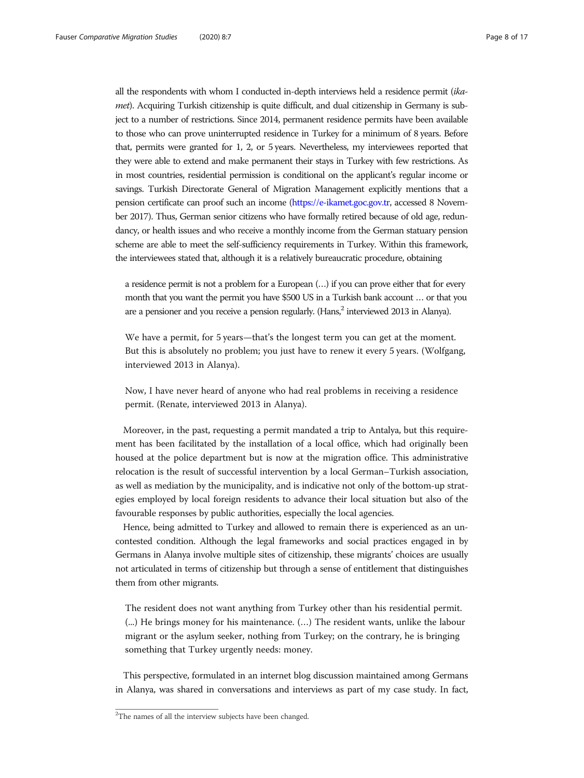all the respondents with whom I conducted in-depth interviews held a residence permit (ikamet). Acquiring Turkish citizenship is quite difficult, and dual citizenship in Germany is subject to a number of restrictions. Since 2014, permanent residence permits have been available to those who can prove uninterrupted residence in Turkey for a minimum of 8 years. Before that, permits were granted for 1, 2, or 5 years. Nevertheless, my interviewees reported that they were able to extend and make permanent their stays in Turkey with few restrictions. As in most countries, residential permission is conditional on the applicant's regular income or savings. Turkish Directorate General of Migration Management explicitly mentions that a pension certificate can proof such an income [\(https://e-ikamet.goc.gov.tr,](https://e-ikamet.goc.gov.tr) accessed 8 November 2017). Thus, German senior citizens who have formally retired because of old age, redundancy, or health issues and who receive a monthly income from the German statuary pension scheme are able to meet the self-sufficiency requirements in Turkey. Within this framework, the interviewees stated that, although it is a relatively bureaucratic procedure, obtaining

a residence permit is not a problem for a European (…) if you can prove either that for every month that you want the permit you have \$500 US in a Turkish bank account … or that you are a pensioner and you receive a pension regularly. (Hans,<sup>2</sup> interviewed 2013 in Alanya).

We have a permit, for 5 years—that's the longest term you can get at the moment. But this is absolutely no problem; you just have to renew it every 5 years. (Wolfgang, interviewed 2013 in Alanya).

Now, I have never heard of anyone who had real problems in receiving a residence permit. (Renate, interviewed 2013 in Alanya).

Moreover, in the past, requesting a permit mandated a trip to Antalya, but this requirement has been facilitated by the installation of a local office, which had originally been housed at the police department but is now at the migration office. This administrative relocation is the result of successful intervention by a local German–Turkish association, as well as mediation by the municipality, and is indicative not only of the bottom-up strategies employed by local foreign residents to advance their local situation but also of the favourable responses by public authorities, especially the local agencies.

Hence, being admitted to Turkey and allowed to remain there is experienced as an uncontested condition. Although the legal frameworks and social practices engaged in by Germans in Alanya involve multiple sites of citizenship, these migrants' choices are usually not articulated in terms of citizenship but through a sense of entitlement that distinguishes them from other migrants.

The resident does not want anything from Turkey other than his residential permit. (...) He brings money for his maintenance. (…) The resident wants, unlike the labour migrant or the asylum seeker, nothing from Turkey; on the contrary, he is bringing something that Turkey urgently needs: money.

This perspective, formulated in an internet blog discussion maintained among Germans in Alanya, was shared in conversations and interviews as part of my case study. In fact,

<sup>&</sup>lt;sup>2</sup>The names of all the interview subjects have been changed.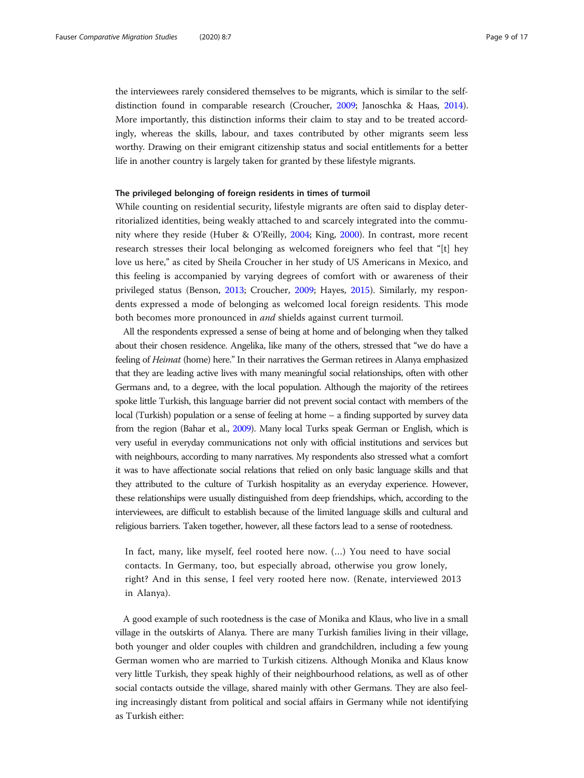the interviewees rarely considered themselves to be migrants, which is similar to the selfdistinction found in comparable research (Croucher, [2009;](#page-15-0) Janoschka & Haas, [2014](#page-15-0)). More importantly, this distinction informs their claim to stay and to be treated accordingly, whereas the skills, labour, and taxes contributed by other migrants seem less worthy. Drawing on their emigrant citizenship status and social entitlements for a better life in another country is largely taken for granted by these lifestyle migrants.

## The privileged belonging of foreign residents in times of turmoil

While counting on residential security, lifestyle migrants are often said to display deterritorialized identities, being weakly attached to and scarcely integrated into the community where they reside (Huber & O'Reilly, [2004;](#page-15-0) King, [2000](#page-15-0)). In contrast, more recent research stresses their local belonging as welcomed foreigners who feel that "[t] hey love us here," as cited by Sheila Croucher in her study of US Americans in Mexico, and this feeling is accompanied by varying degrees of comfort with or awareness of their privileged status (Benson, [2013](#page-14-0); Croucher, [2009](#page-15-0); Hayes, [2015](#page-15-0)). Similarly, my respondents expressed a mode of belonging as welcomed local foreign residents. This mode both becomes more pronounced in *and* shields against current turmoil.

All the respondents expressed a sense of being at home and of belonging when they talked about their chosen residence. Angelika, like many of the others, stressed that "we do have a feeling of Heimat (home) here." In their narratives the German retirees in Alanya emphasized that they are leading active lives with many meaningful social relationships, often with other Germans and, to a degree, with the local population. Although the majority of the retirees spoke little Turkish, this language barrier did not prevent social contact with members of the local (Turkish) population or a sense of feeling at home – a finding supported by survey data from the region (Bahar et al., [2009](#page-14-0)). Many local Turks speak German or English, which is very useful in everyday communications not only with official institutions and services but with neighbours, according to many narratives. My respondents also stressed what a comfort it was to have affectionate social relations that relied on only basic language skills and that they attributed to the culture of Turkish hospitality as an everyday experience. However, these relationships were usually distinguished from deep friendships, which, according to the interviewees, are difficult to establish because of the limited language skills and cultural and religious barriers. Taken together, however, all these factors lead to a sense of rootedness.

In fact, many, like myself, feel rooted here now. (…) You need to have social contacts. In Germany, too, but especially abroad, otherwise you grow lonely, right? And in this sense, I feel very rooted here now. (Renate, interviewed 2013 in Alanya).

A good example of such rootedness is the case of Monika and Klaus, who live in a small village in the outskirts of Alanya. There are many Turkish families living in their village, both younger and older couples with children and grandchildren, including a few young German women who are married to Turkish citizens. Although Monika and Klaus know very little Turkish, they speak highly of their neighbourhood relations, as well as of other social contacts outside the village, shared mainly with other Germans. They are also feeling increasingly distant from political and social affairs in Germany while not identifying as Turkish either: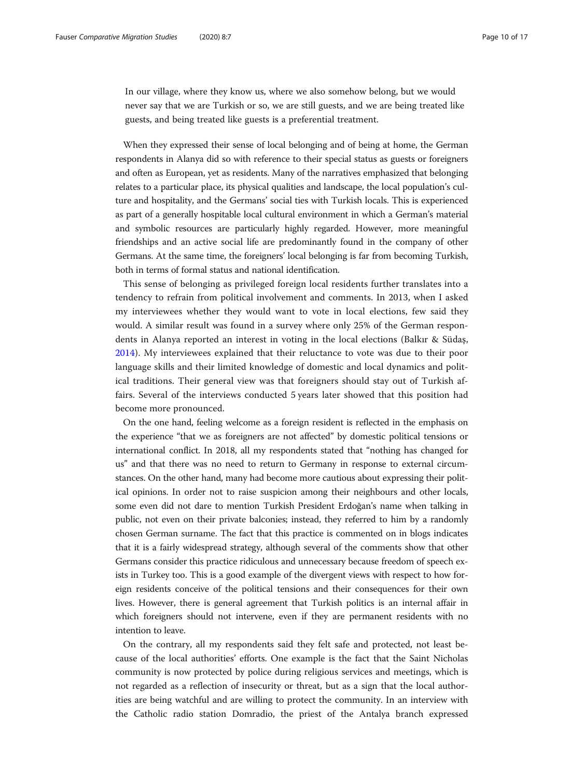In our village, where they know us, where we also somehow belong, but we would never say that we are Turkish or so, we are still guests, and we are being treated like guests, and being treated like guests is a preferential treatment.

When they expressed their sense of local belonging and of being at home, the German respondents in Alanya did so with reference to their special status as guests or foreigners and often as European, yet as residents. Many of the narratives emphasized that belonging relates to a particular place, its physical qualities and landscape, the local population's culture and hospitality, and the Germans' social ties with Turkish locals. This is experienced as part of a generally hospitable local cultural environment in which a German's material and symbolic resources are particularly highly regarded. However, more meaningful friendships and an active social life are predominantly found in the company of other Germans. At the same time, the foreigners' local belonging is far from becoming Turkish, both in terms of formal status and national identification.

This sense of belonging as privileged foreign local residents further translates into a tendency to refrain from political involvement and comments. In 2013, when I asked my interviewees whether they would want to vote in local elections, few said they would. A similar result was found in a survey where only 25% of the German respondents in Alanya reported an interest in voting in the local elections (Balkır & Südaş, [2014\)](#page-14-0). My interviewees explained that their reluctance to vote was due to their poor language skills and their limited knowledge of domestic and local dynamics and political traditions. Their general view was that foreigners should stay out of Turkish affairs. Several of the interviews conducted 5 years later showed that this position had become more pronounced.

On the one hand, feeling welcome as a foreign resident is reflected in the emphasis on the experience "that we as foreigners are not affected" by domestic political tensions or international conflict. In 2018, all my respondents stated that "nothing has changed for us" and that there was no need to return to Germany in response to external circumstances. On the other hand, many had become more cautious about expressing their political opinions. In order not to raise suspicion among their neighbours and other locals, some even did not dare to mention Turkish President Erdoğan's name when talking in public, not even on their private balconies; instead, they referred to him by a randomly chosen German surname. The fact that this practice is commented on in blogs indicates that it is a fairly widespread strategy, although several of the comments show that other Germans consider this practice ridiculous and unnecessary because freedom of speech exists in Turkey too. This is a good example of the divergent views with respect to how foreign residents conceive of the political tensions and their consequences for their own lives. However, there is general agreement that Turkish politics is an internal affair in which foreigners should not intervene, even if they are permanent residents with no intention to leave.

On the contrary, all my respondents said they felt safe and protected, not least because of the local authorities' efforts. One example is the fact that the Saint Nicholas community is now protected by police during religious services and meetings, which is not regarded as a reflection of insecurity or threat, but as a sign that the local authorities are being watchful and are willing to protect the community. In an interview with the Catholic radio station Domradio, the priest of the Antalya branch expressed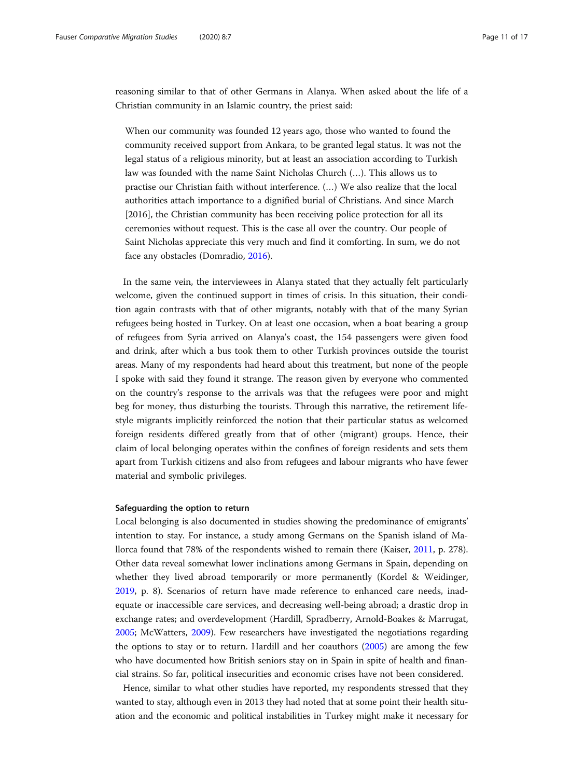reasoning similar to that of other Germans in Alanya. When asked about the life of a Christian community in an Islamic country, the priest said:

When our community was founded 12 years ago, those who wanted to found the community received support from Ankara, to be granted legal status. It was not the legal status of a religious minority, but at least an association according to Turkish law was founded with the name Saint Nicholas Church (…). This allows us to practise our Christian faith without interference. (…) We also realize that the local authorities attach importance to a dignified burial of Christians. And since March [2016], the Christian community has been receiving police protection for all its ceremonies without request. This is the case all over the country. Our people of Saint Nicholas appreciate this very much and find it comforting. In sum, we do not face any obstacles (Domradio, [2016\)](#page-15-0).

In the same vein, the interviewees in Alanya stated that they actually felt particularly welcome, given the continued support in times of crisis. In this situation, their condition again contrasts with that of other migrants, notably with that of the many Syrian refugees being hosted in Turkey. On at least one occasion, when a boat bearing a group of refugees from Syria arrived on Alanya's coast, the 154 passengers were given food and drink, after which a bus took them to other Turkish provinces outside the tourist areas. Many of my respondents had heard about this treatment, but none of the people I spoke with said they found it strange. The reason given by everyone who commented on the country's response to the arrivals was that the refugees were poor and might beg for money, thus disturbing the tourists. Through this narrative, the retirement lifestyle migrants implicitly reinforced the notion that their particular status as welcomed foreign residents differed greatly from that of other (migrant) groups. Hence, their claim of local belonging operates within the confines of foreign residents and sets them apart from Turkish citizens and also from refugees and labour migrants who have fewer material and symbolic privileges.

# Safeguarding the option to return

Local belonging is also documented in studies showing the predominance of emigrants' intention to stay. For instance, a study among Germans on the Spanish island of Mallorca found that 78% of the respondents wished to remain there (Kaiser, [2011,](#page-15-0) p. 278). Other data reveal somewhat lower inclinations among Germans in Spain, depending on whether they lived abroad temporarily or more permanently (Kordel & Weidinger, [2019](#page-15-0), p. 8). Scenarios of return have made reference to enhanced care needs, inadequate or inaccessible care services, and decreasing well-being abroad; a drastic drop in exchange rates; and overdevelopment (Hardill, Spradberry, Arnold-Boakes & Marrugat, [2005](#page-15-0); McWatters, [2009\)](#page-16-0). Few researchers have investigated the negotiations regarding the options to stay or to return. Hardill and her coauthors [\(2005\)](#page-15-0) are among the few who have documented how British seniors stay on in Spain in spite of health and financial strains. So far, political insecurities and economic crises have not been considered.

Hence, similar to what other studies have reported, my respondents stressed that they wanted to stay, although even in 2013 they had noted that at some point their health situation and the economic and political instabilities in Turkey might make it necessary for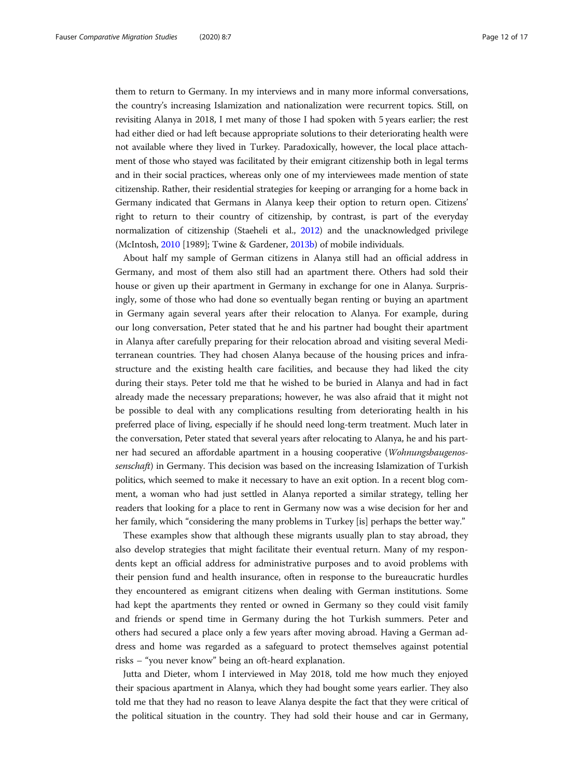them to return to Germany. In my interviews and in many more informal conversations, the country's increasing Islamization and nationalization were recurrent topics. Still, on revisiting Alanya in 2018, I met many of those I had spoken with 5 years earlier; the rest had either died or had left because appropriate solutions to their deteriorating health were not available where they lived in Turkey. Paradoxically, however, the local place attachment of those who stayed was facilitated by their emigrant citizenship both in legal terms and in their social practices, whereas only one of my interviewees made mention of state citizenship. Rather, their residential strategies for keeping or arranging for a home back in Germany indicated that Germans in Alanya keep their option to return open. Citizens' right to return to their country of citizenship, by contrast, is part of the everyday normalization of citizenship (Staeheli et al., [2012\)](#page-16-0) and the unacknowledged privilege (McIntosh, [2010](#page-16-0) [1989]; Twine & Gardener, [2013b\)](#page-16-0) of mobile individuals.

About half my sample of German citizens in Alanya still had an official address in Germany, and most of them also still had an apartment there. Others had sold their house or given up their apartment in Germany in exchange for one in Alanya. Surprisingly, some of those who had done so eventually began renting or buying an apartment in Germany again several years after their relocation to Alanya. For example, during our long conversation, Peter stated that he and his partner had bought their apartment in Alanya after carefully preparing for their relocation abroad and visiting several Mediterranean countries. They had chosen Alanya because of the housing prices and infrastructure and the existing health care facilities, and because they had liked the city during their stays. Peter told me that he wished to be buried in Alanya and had in fact already made the necessary preparations; however, he was also afraid that it might not be possible to deal with any complications resulting from deteriorating health in his preferred place of living, especially if he should need long-term treatment. Much later in the conversation, Peter stated that several years after relocating to Alanya, he and his partner had secured an affordable apartment in a housing cooperative (Wohnungsbaugenossenschaft) in Germany. This decision was based on the increasing Islamization of Turkish politics, which seemed to make it necessary to have an exit option. In a recent blog comment, a woman who had just settled in Alanya reported a similar strategy, telling her readers that looking for a place to rent in Germany now was a wise decision for her and her family, which "considering the many problems in Turkey [is] perhaps the better way."

These examples show that although these migrants usually plan to stay abroad, they also develop strategies that might facilitate their eventual return. Many of my respondents kept an official address for administrative purposes and to avoid problems with their pension fund and health insurance, often in response to the bureaucratic hurdles they encountered as emigrant citizens when dealing with German institutions. Some had kept the apartments they rented or owned in Germany so they could visit family and friends or spend time in Germany during the hot Turkish summers. Peter and others had secured a place only a few years after moving abroad. Having a German address and home was regarded as a safeguard to protect themselves against potential risks – "you never know" being an oft-heard explanation.

Jutta and Dieter, whom I interviewed in May 2018, told me how much they enjoyed their spacious apartment in Alanya, which they had bought some years earlier. They also told me that they had no reason to leave Alanya despite the fact that they were critical of the political situation in the country. They had sold their house and car in Germany,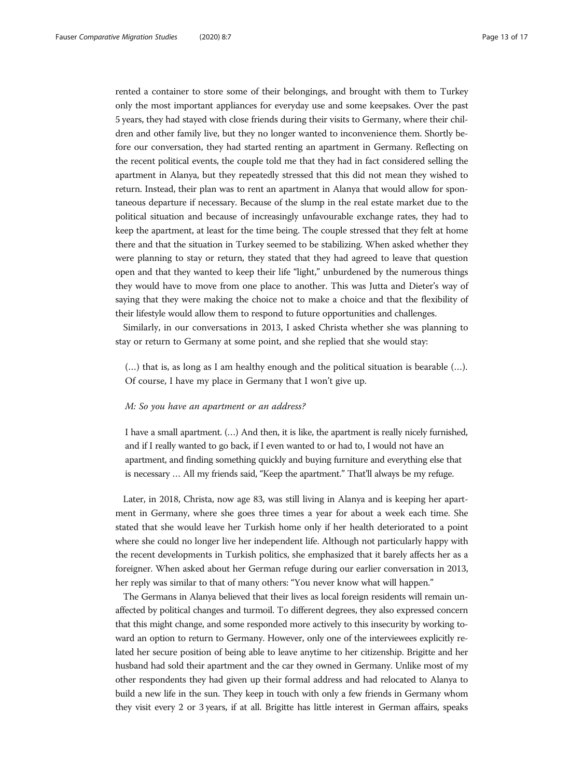rented a container to store some of their belongings, and brought with them to Turkey only the most important appliances for everyday use and some keepsakes. Over the past 5 years, they had stayed with close friends during their visits to Germany, where their children and other family live, but they no longer wanted to inconvenience them. Shortly before our conversation, they had started renting an apartment in Germany. Reflecting on the recent political events, the couple told me that they had in fact considered selling the apartment in Alanya, but they repeatedly stressed that this did not mean they wished to return. Instead, their plan was to rent an apartment in Alanya that would allow for spontaneous departure if necessary. Because of the slump in the real estate market due to the political situation and because of increasingly unfavourable exchange rates, they had to keep the apartment, at least for the time being. The couple stressed that they felt at home there and that the situation in Turkey seemed to be stabilizing. When asked whether they were planning to stay or return, they stated that they had agreed to leave that question open and that they wanted to keep their life "light," unburdened by the numerous things they would have to move from one place to another. This was Jutta and Dieter's way of saying that they were making the choice not to make a choice and that the flexibility of their lifestyle would allow them to respond to future opportunities and challenges.

Similarly, in our conversations in 2013, I asked Christa whether she was planning to stay or return to Germany at some point, and she replied that she would stay:

(…) that is, as long as I am healthy enough and the political situation is bearable (…). Of course, I have my place in Germany that I won't give up.

# M: So you have an apartment or an address?

I have a small apartment. (…) And then, it is like, the apartment is really nicely furnished, and if I really wanted to go back, if I even wanted to or had to, I would not have an apartment, and finding something quickly and buying furniture and everything else that is necessary … All my friends said, "Keep the apartment." That'll always be my refuge.

Later, in 2018, Christa, now age 83, was still living in Alanya and is keeping her apartment in Germany, where she goes three times a year for about a week each time. She stated that she would leave her Turkish home only if her health deteriorated to a point where she could no longer live her independent life. Although not particularly happy with the recent developments in Turkish politics, she emphasized that it barely affects her as a foreigner. When asked about her German refuge during our earlier conversation in 2013, her reply was similar to that of many others: "You never know what will happen."

The Germans in Alanya believed that their lives as local foreign residents will remain unaffected by political changes and turmoil. To different degrees, they also expressed concern that this might change, and some responded more actively to this insecurity by working toward an option to return to Germany. However, only one of the interviewees explicitly related her secure position of being able to leave anytime to her citizenship. Brigitte and her husband had sold their apartment and the car they owned in Germany. Unlike most of my other respondents they had given up their formal address and had relocated to Alanya to build a new life in the sun. They keep in touch with only a few friends in Germany whom they visit every 2 or 3 years, if at all. Brigitte has little interest in German affairs, speaks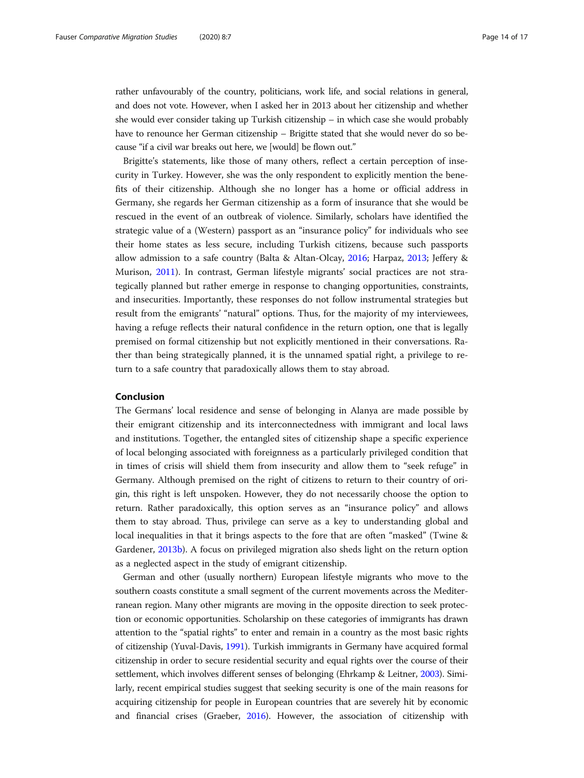rather unfavourably of the country, politicians, work life, and social relations in general, and does not vote. However, when I asked her in 2013 about her citizenship and whether she would ever consider taking up Turkish citizenship – in which case she would probably have to renounce her German citizenship – Brigitte stated that she would never do so because "if a civil war breaks out here, we [would] be flown out."

Brigitte's statements, like those of many others, reflect a certain perception of insecurity in Turkey. However, she was the only respondent to explicitly mention the benefits of their citizenship. Although she no longer has a home or official address in Germany, she regards her German citizenship as a form of insurance that she would be rescued in the event of an outbreak of violence. Similarly, scholars have identified the strategic value of a (Western) passport as an "insurance policy" for individuals who see their home states as less secure, including Turkish citizens, because such passports allow admission to a safe country (Balta & Altan-Olcay, [2016;](#page-14-0) Harpaz, [2013](#page-15-0); Jeffery & Murison, [2011\)](#page-15-0). In contrast, German lifestyle migrants' social practices are not strategically planned but rather emerge in response to changing opportunities, constraints, and insecurities. Importantly, these responses do not follow instrumental strategies but result from the emigrants' "natural" options. Thus, for the majority of my interviewees, having a refuge reflects their natural confidence in the return option, one that is legally premised on formal citizenship but not explicitly mentioned in their conversations. Rather than being strategically planned, it is the unnamed spatial right, a privilege to return to a safe country that paradoxically allows them to stay abroad.

# Conclusion

The Germans' local residence and sense of belonging in Alanya are made possible by their emigrant citizenship and its interconnectedness with immigrant and local laws and institutions. Together, the entangled sites of citizenship shape a specific experience of local belonging associated with foreignness as a particularly privileged condition that in times of crisis will shield them from insecurity and allow them to "seek refuge" in Germany. Although premised on the right of citizens to return to their country of origin, this right is left unspoken. However, they do not necessarily choose the option to return. Rather paradoxically, this option serves as an "insurance policy" and allows them to stay abroad. Thus, privilege can serve as a key to understanding global and local inequalities in that it brings aspects to the fore that are often "masked" (Twine & Gardener, [2013b\)](#page-16-0). A focus on privileged migration also sheds light on the return option as a neglected aspect in the study of emigrant citizenship.

German and other (usually northern) European lifestyle migrants who move to the southern coasts constitute a small segment of the current movements across the Mediterranean region. Many other migrants are moving in the opposite direction to seek protection or economic opportunities. Scholarship on these categories of immigrants has drawn attention to the "spatial rights" to enter and remain in a country as the most basic rights of citizenship (Yuval-Davis, [1991\)](#page-16-0). Turkish immigrants in Germany have acquired formal citizenship in order to secure residential security and equal rights over the course of their settlement, which involves different senses of belonging (Ehrkamp & Leitner, [2003](#page-15-0)). Similarly, recent empirical studies suggest that seeking security is one of the main reasons for acquiring citizenship for people in European countries that are severely hit by economic and financial crises (Graeber, [2016\)](#page-15-0). However, the association of citizenship with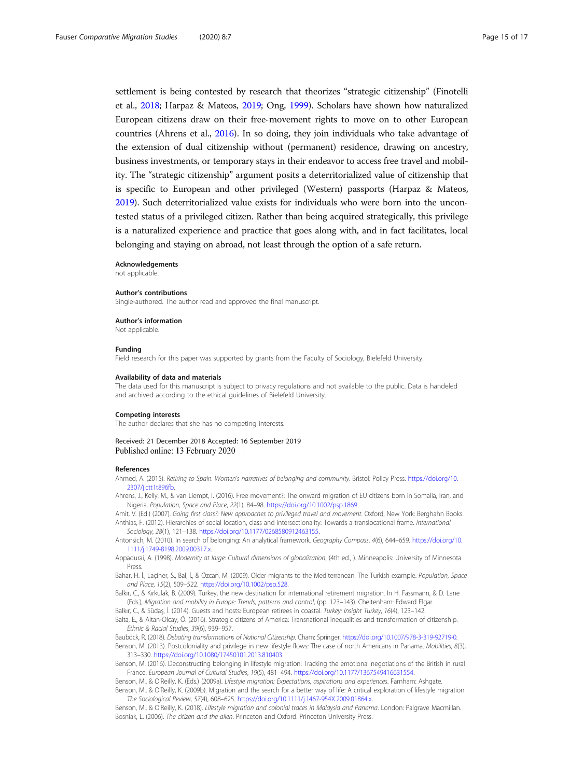<span id="page-14-0"></span>settlement is being contested by research that theorizes "strategic citizenship" (Finotelli et al., [2018;](#page-15-0) Harpaz & Mateos, [2019](#page-15-0); Ong, [1999\)](#page-16-0). Scholars have shown how naturalized European citizens draw on their free-movement rights to move on to other European countries (Ahrens et al., 2016). In so doing, they join individuals who take advantage of the extension of dual citizenship without (permanent) residence, drawing on ancestry, business investments, or temporary stays in their endeavor to access free travel and mobility. The "strategic citizenship" argument posits a deterritorialized value of citizenship that is specific to European and other privileged (Western) passports (Harpaz & Mateos, [2019\)](#page-15-0). Such deterritorialized value exists for individuals who were born into the uncontested status of a privileged citizen. Rather than being acquired strategically, this privilege is a naturalized experience and practice that goes along with, and in fact facilitates, local belonging and staying on abroad, not least through the option of a safe return.

#### Acknowledgements

not applicable.

#### Author's contributions

Single-authored. The author read and approved the final manuscript.

#### Author's information

Not applicable.

#### Funding

Field research for this paper was supported by grants from the Faculty of Sociology, Bielefeld University.

#### Availability of data and materials

The data used for this manuscript is subject to privacy regulations and not available to the public. Data is handeled and archived according to the ethical guidelines of Bielefeld University.

#### Competing interests

The author declares that she has no competing interests.

## Received: 21 December 2018 Accepted: 16 September 2019 Published online: 13 February 2020

#### References

Ahmed, A. (2015). Retiring to Spain. Women's narratives of belonging and community. Bristol: Policy Press. [https://doi.org/10.](https://doi.org/10.2307/j.ctt1t896fb) [2307/j.ctt1t896fb](https://doi.org/10.2307/j.ctt1t896fb).

Ahrens, J., Kelly, M., & van Liempt, I. (2016). Free movement?: The onward migration of EU citizens born in Somalia, Iran, and Nigeria. Population, Space and Place, 22(1), 84–98. [https://doi.org/10.1002/psp.1869.](https://doi.org/10.1002/psp.1869)

Amit, V. (Ed.) (2007). Going first class?: New approaches to privileged travel and movement. Oxford, New York: Berghahn Books. Anthias, F. (2012). Hierarchies of social location, class and intersectionality: Towards a translocational frame. International Sociology, 28(1), 121–138. <https://doi.org/10.1177/0268580912463155>.

Antonsich, M. (2010). In search of belonging: An analytical framework. Geography Compass, 4(6), 644–659. [https://doi.org/10.](https://doi.org/10.1111/j.1749-8198.2009.00317.x) [1111/j.1749-8198.2009.00317.x](https://doi.org/10.1111/j.1749-8198.2009.00317.x).

Appadurai, A. (1998). Modernity at large: Cultural dimensions of globalization, (4th ed., ). Minneapolis: University of Minnesota Press.

Bahar, H. İ., Laçiner, S., Bal, İ., & Özcan, M. (2009). Older migrants to the Mediterranean: The Turkish example. Population, Space and Place, 15(2), 509–522. <https://doi.org/10.1002/psp.528>.

Balkır, C., & Kırkulak, B. (2009). Turkey, the new destination for international retirement migration. In H. Fassmann, & D. Lane (Eds.), Migration and mobility in Europe: Trends, patterns and control, (pp. 123–143). Cheltenham: Edward Elgar.

Balkır, C., & Südaş, İ. (2014). Guests and hosts: European retirees in coastal. Turkey: Insight Turkey, 16(4), 123-142.

Balta, E., & Altan-Olcay, Ö. (2016). Strategic citizens of America: Transnational inequalities and transformation of citizenship. Ethnic & Racial Studies, 39(6), 939–957.

Bauböck, R. (2018). Debating transformations of National Citizenship. Cham: Springer. [https://doi.org/10.1007/978-3-319-92719-0.](https://doi.org/10.1007/978-3-319-92719-0)

Benson, M. (2013). Postcoloniality and privilege in new lifestyle flows: The case of north Americans in Panama. Mobilities, 8(3), 313–330. [https://doi.org/10.1080/17450101.2013.810403.](https://doi.org/10.1080/17450101.2013.810403)

Benson, M. (2016). Deconstructing belonging in lifestyle migration: Tracking the emotional negotiations of the British in rural France. European Journal of Cultural Studies, 19(5), 481–494. [https://doi.org/10.1177/1367549416631554.](https://doi.org/10.1177/1367549416631554)

Benson, M., & O'Reilly, K. (Eds.) (2009a). Lifestyle migration: Expectations, aspirations and experiences. Farnham: Ashgate.

Benson, M., & O'Reilly, K. (2009b). Migration and the search for a better way of life: A critical exploration of lifestyle migration. The Sociological Review, 57(4), 608–625. <https://doi.org/10.1111/j.1467-954X.2009.01864.x>.

Benson, M., & O'Reilly, K. (2018). Lifestyle migration and colonial traces in Malaysia and Panama. London: Palgrave Macmillan. Bosniak, L. (2006). The citizen and the alien. Princeton and Oxford: Princeton University Press.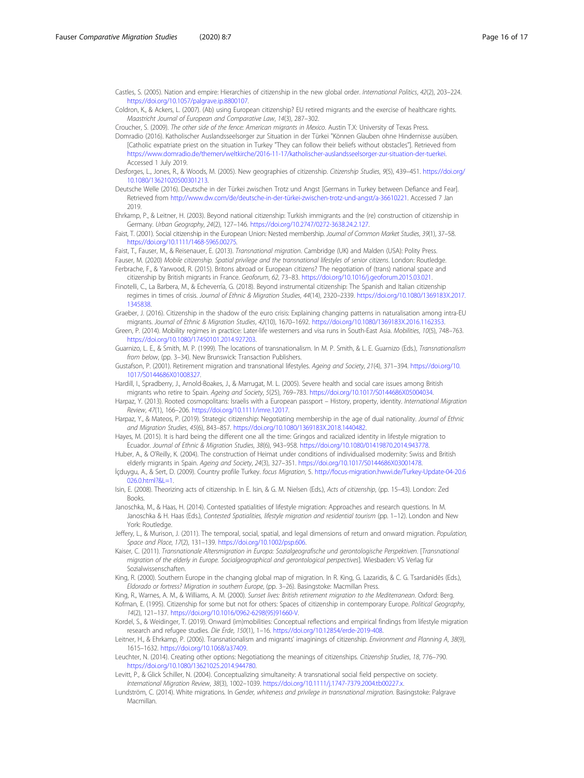- <span id="page-15-0"></span>Castles, S. (2005). Nation and empire: Hierarchies of citizenship in the new global order. International Politics, 42(2), 203–224. [https://doi.org/10.1057/palgrave.ip.8800107.](https://doi.org/10.1057/palgrave.ip.8800107)
- Coldron, K., & Ackers, L. (2007). (Ab) using European citizenship? EU retired migrants and the exercise of healthcare rights. Maastricht Journal of European and Comparative Law, 14(3), 287–302.

Croucher, S. (2009). The other side of the fence: American migrants in Mexico. Austin T.X: University of Texas Press.

- Domradio (2016). Katholischer Auslandsseelsorger zur Situation in der Türkei "Können Glauben ohne Hindernisse ausüben. [Catholic expatriate priest on the situation in Turkey "They can follow their beliefs without obstacles"]. Retrieved from [https://www.domradio.de/themen/weltkirche/2016-11-17/katholischer-auslandsseelsorger-zur-situation-der-tuerkei.](https://www.domradio.de/themen/weltkirche/2016-11-17/katholischer-auslandsseelsorger-zur-situation-der-tuerkei) Accessed 1 July 2019.
- Desforges, L., Jones, R., & Woods, M. (2005). New geographies of citizenship. Citizenship Studies, 9(5), 439–451. [https://doi.org/](https://doi.org/10.1080/13621020500301213) [10.1080/13621020500301213.](https://doi.org/10.1080/13621020500301213)
- Deutsche Welle (2016). Deutsche in der Türkei zwischen Trotz und Angst [Germans in Turkey between Defiance and Fear]. Retrieved from [http://www.dw.com/de/deutsche-in-der-türkei-zwischen-trotz-und-angst/a-36610221.](http://www.dw.com/de/deutsche-in-der-t%C3%BCrkei-zwischen-trotz-und-angst/a-36610221) Accessed 7 Jan 2019.
- Ehrkamp, P., & Leitner, H. (2003). Beyond national citizenship: Turkish immigrants and the (re) construction of citizenship in Germany. Urban Geography, 24(2), 127–146. [https://doi.org/10.2747/0272-3638.24.2.127.](https://doi.org/10.2747/0272-3638.24.2.127)

Faist, T. (2001). Social citizenship in the European Union: Nested membership. Journal of Common Market Studies, 39(1), 37–58. [https://doi.org/10.1111/1468-5965.00275.](https://doi.org/10.1111/1468-5965.00275)

Faist, T., Fauser, M., & Reisenauer, E. (2013). Transnational migration. Cambridge (UK) and Malden (USA): Polity Press.

Fauser, M. (2020) Mobile citizenship. Spatial privilege and the transnational lifestyles of senior citizens. London: Routledge. Ferbrache, F., & Yarwood, R. (2015). Britons abroad or European citizens? The negotiation of (trans) national space and

citizenship by British migrants in France. Geoforum, 62, 73–83. <https://doi.org/10.1016/j.geoforum.2015.03.021>. Finotelli, C., La Barbera, M., & Echeverría, G. (2018). Beyond instrumental citizenship: The Spanish and Italian citizenship

regimes in times of crisis. Journal of Ethnic & Migration Studies, 44(14), 2320–2339. [https://doi.org/10.1080/1369183X.2017.](https://doi.org/10.1080/1369183X.2017.1345838) [1345838.](https://doi.org/10.1080/1369183X.2017.1345838)

Graeber, J. (2016). Citizenship in the shadow of the euro crisis: Explaining changing patterns in naturalisation among intra-EU migrants. Journal of Ethnic & Migration Studies, 42(10), 1670–1692. <https://doi.org/10.1080/1369183X.2016.1162353>.

Green, P. (2014). Mobility regimes in practice: Later-life westerners and visa runs in South-East Asia. Mobilities, 10(5), 748–763. [https://doi.org/10.1080/17450101.2014.927203.](https://doi.org/10.1080/17450101.2014.927203)

Guarnizo, L. E., & Smith, M. P. (1999). The locations of transnationalism. In M. P. Smith, & L. E. Guarnizo (Eds.), Transnationalism from below, (pp. 3–34). New Brunswick: Transaction Publishers.

Gustafson, P. (2001). Retirement migration and transnational lifestyles. Ageing and Society, 21(4), 371–394. [https://doi.org/10.](https://doi.org/10.1017/S0144686X01008327) [1017/S0144686X01008327](https://doi.org/10.1017/S0144686X01008327).

Hardill, I., Spradberry, J., Arnold-Boakes, J., & Marrugat, M. L. (2005). Severe health and social care issues among British migrants who retire to Spain. Ageing and Society, 5(25), 769–783. <https://doi.org/10.1017/S0144686X05004034>.

Harpaz, Y. (2013). Rooted cosmopolitans: Israelis with a European passport – History, property, identity. International Migration Review, 47(1), 166–206. <https://doi.org/10.1111/imre.12017>.

- Harpaz, Y., & Mateos, P. (2019). Strategic citizenship: Negotiating membership in the age of dual nationality. Journal of Ethnic and Migration Studies, 45(6), 843–857. [https://doi.org/10.1080/1369183X.2018.1440482.](https://doi.org/10.1080/1369183X.2018.1440482)
- Hayes, M. (2015). It is hard being the different one all the time: Gringos and racialized identity in lifestyle migration to Ecuador. Journal of Ethnic & Migration Studies, 38(6), 943–958. <https://doi.org/10.1080/01419870.2014.943778>.
- Huber, A., & O'Reilly, K. (2004). The construction of Heimat under conditions of individualised modernity: Swiss and British elderly migrants in Spain. Ageing and Society, 24(3), 327-351. [https://doi.org/10.1017/S0144686X03001478.](https://doi.org/10.1017/S0144686X03001478)
- İçduygu, A., & Sert, D. (2009). Country profile Turkey. focus Migration, 5. [http://focus-migration.hwwi.de/Turkey-Update-04-20.6](http://focus-migration.hwwi.de/Turkey-Update-04-20.6026.0.html?&L=1) [026.0.html?&L=1](http://focus-migration.hwwi.de/Turkey-Update-04-20.6026.0.html?&L=1).
- Isin, E. (2008). Theorizing acts of citizenship. In E. Isin, & G. M. Nielsen (Eds.), Acts of citizenship, (pp. 15–43). London: Zed Books.
- Janoschka, M., & Haas, H. (2014). Contested spatialities of lifestyle migration: Approaches and research questions. In M. Janoschka & H. Haas (Eds.), Contested Spatialities, lifestyle migration and residential tourism (pp. 1–12). London and New York: Routledge.

Jeffery, L., & Murison, J. (2011). The temporal, social, spatial, and legal dimensions of return and onward migration. Population, Space and Place, 17(2), 131–139. [https://doi.org/10.1002/psp.606.](https://doi.org/10.1002/psp.606)

- Kaiser, C. (2011). Transnationale Altersmigration in Europa: Sozialgeografische und gerontologische Perspektiven. [Transnational migration of the elderly in Europe. Socialgeographical and gerontological perspectives]. Wiesbaden: VS Verlag für Sozialwissenschaften.
- King, R. (2000). Southern Europe in the changing global map of migration. In R. King, G. Lazaridis, & C. G. Tsardanidēs (Eds.), Eldorado or fortress? Migration in southern Europe, (pp. 3–26). Basingstoke: Macmillan Press.

King, R., Warnes, A. M., & Williams, A. M. (2000). Sunset lives: British retirement migration to the Mediterranean. Oxford: Berg. Kofman, E. (1995). Citizenship for some but not for others: Spaces of citizenship in contemporary Europe. Political Geography, 14(2), 121–137. [https://doi.org/10.1016/0962-6298\(95\)91660-V.](https://doi.org/10.1016/0962-6298(95)91660-V)

Kordel, S., & Weidinger, T. (2019). Onward (im)mobilities: Conceptual reflections and empirical findings from lifestyle migration research and refugee studies. Die Erde, 150(1), 1–16. <https://doi.org/10.12854/erde-2019-408>.

Leitner, H., & Ehrkamp, P. (2006). Transnationalism and migrants' imaginings of citizenship. Environment and Planning A, 38(9), 1615–1632. <https://doi.org/10.1068/a37409>.

Leuchter, N. (2014). Creating other options: Negotiationg the meanings of citizenships. Citizenship Studies, 18, 776–790. [https://doi.org/10.1080/13621025.2014.944780.](https://doi.org/10.1080/13621025.2014.944780)

Levitt, P., & Glick Schiller, N. (2004). Conceptualizing simultaneity: A transnational social field perspective on society. International Migration Review, 38(3), 1002–1039. <https://doi.org/10.1111/j.1747-7379.2004.tb00227.x>.

Lundström, C. (2014). White migrations. In Gender, whiteness and privilege in transnational migration. Basingstoke: Palgrave Macmillan.